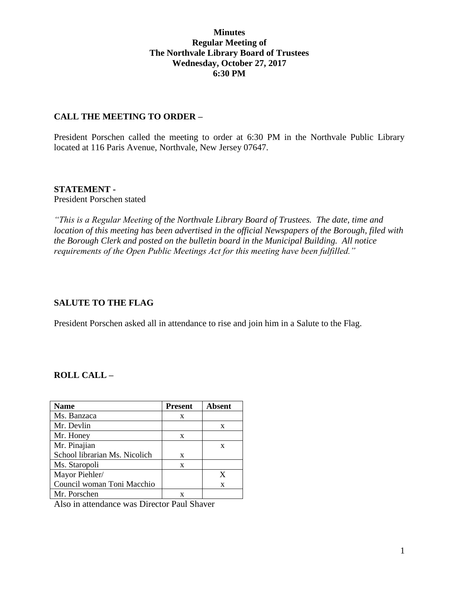#### **Minutes Regular Meeting of The Northvale Library Board of Trustees Wednesday, October 27, 2017 6:30 PM**

#### **CALL THE MEETING TO ORDER –**

President Porschen called the meeting to order at 6:30 PM in the Northvale Public Library located at 116 Paris Avenue, Northvale, New Jersey 07647.

#### **STATEMENT -**

President Porschen stated

*"This is a Regular Meeting of the Northvale Library Board of Trustees. The date, time and location of this meeting has been advertised in the official Newspapers of the Borough, filed with the Borough Clerk and posted on the bulletin board in the Municipal Building. All notice requirements of the Open Public Meetings Act for this meeting have been fulfilled."* 

## **SALUTE TO THE FLAG**

President Porschen asked all in attendance to rise and join him in a Salute to the Flag.

## **ROLL CALL –**

| <b>Name</b>                   | <b>Present</b> | <b>Absent</b> |
|-------------------------------|----------------|---------------|
| Ms. Banzaca                   | X              |               |
| Mr. Devlin                    |                | X             |
| Mr. Honey                     | X              |               |
| Mr. Pinajian                  |                | X             |
| School librarian Ms. Nicolich | X              |               |
| Ms. Staropoli                 | X              |               |
| Mayor Piehler/                |                | X             |
| Council woman Toni Macchio    |                | X             |
| Mr. Porschen                  |                |               |

Also in attendance was Director Paul Shaver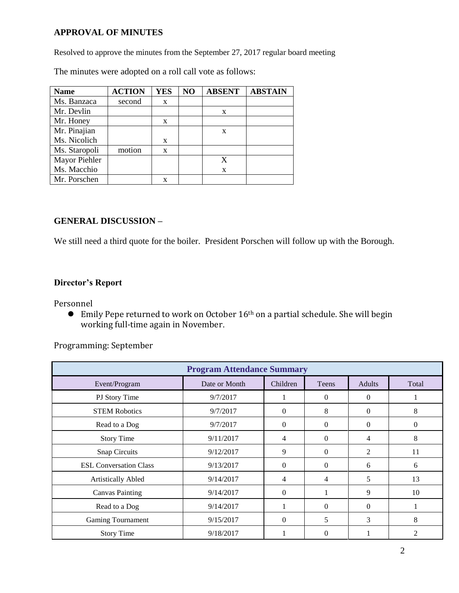## **APPROVAL OF MINUTES**

Resolved to approve the minutes from the September 27, 2017 regular board meeting

The minutes were adopted on a roll call vote as follows:

| <b>Name</b>   | <b>ACTION</b> | <b>YES</b> | NO | <b>ABSENT</b> | <b>ABSTAIN</b> |
|---------------|---------------|------------|----|---------------|----------------|
| Ms. Banzaca   | second        | X          |    |               |                |
| Mr. Devlin    |               |            |    | X             |                |
| Mr. Honey     |               | X          |    |               |                |
| Mr. Pinajian  |               |            |    | X             |                |
| Ms. Nicolich  |               | X          |    |               |                |
| Ms. Staropoli | motion        | X          |    |               |                |
| Mayor Piehler |               |            |    | X             |                |
| Ms. Macchio   |               |            |    | $\mathbf x$   |                |
| Mr. Porschen  |               | X          |    |               |                |

#### **GENERAL DISCUSSION –**

We still need a third quote for the boiler. President Porschen will follow up with the Borough.

## **Director's Report**

Personnel

 $\bullet$  Emily Pepe returned to work on October 16<sup>th</sup> on a partial schedule. She will begin working full-time again in November.

Programming: September

| <b>Program Attendance Summary</b> |               |          |              |               |          |  |
|-----------------------------------|---------------|----------|--------------|---------------|----------|--|
| Event/Program                     | Date or Month | Children | <b>Teens</b> | <b>Adults</b> | Total    |  |
| PJ Story Time                     | 9/7/2017      |          | $\theta$     | $\Omega$      |          |  |
| <b>STEM Robotics</b>              | 9/7/2017      | $\theta$ | 8            | $\Omega$      | 8        |  |
| Read to a Dog                     | 9/7/2017      | $\Omega$ | $\theta$     | $\Omega$      | $\Omega$ |  |
| <b>Story Time</b>                 | 9/11/2017     | 4        | $\Omega$     | 4             | 8        |  |
| Snap Circuits                     | 9/12/2017     | 9        | $\Omega$     | 2             | 11       |  |
| <b>ESL Conversation Class</b>     | 9/13/2017     | $\Omega$ | $\theta$     | 6             | 6        |  |
| <b>Artistically Abled</b>         | 9/14/2017     | 4        | 4            | 5             | 13       |  |
| <b>Canvas Painting</b>            | 9/14/2017     | $\theta$ | 1            | 9             | 10       |  |
| Read to a Dog                     | 9/14/2017     |          | $\Omega$     | $\Omega$      |          |  |
| <b>Gaming Tournament</b>          | 9/15/2017     | $\Omega$ | 5            | 3             | 8        |  |
| <b>Story Time</b>                 | 9/18/2017     |          | 0            |               |          |  |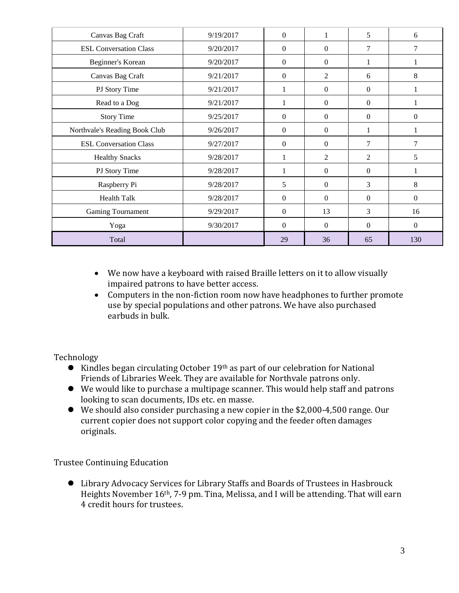| Canvas Bag Craft              | 9/19/2017 | $\overline{0}$ | 1                | 5              | 6                |
|-------------------------------|-----------|----------------|------------------|----------------|------------------|
| <b>ESL Conversation Class</b> | 9/20/2017 | $\mathbf{0}$   | $\boldsymbol{0}$ | $\overline{7}$ | 7                |
| Beginner's Korean             | 9/20/2017 | $\mathbf{0}$   | $\theta$         | 1              | 1                |
| Canvas Bag Craft              | 9/21/2017 | $\mathbf{0}$   | $\overline{c}$   | 6              | 8                |
| PJ Story Time                 | 9/21/2017 | 1              | $\boldsymbol{0}$ | $\mathbf{0}$   |                  |
| Read to a Dog                 | 9/21/2017 | 1              | $\boldsymbol{0}$ | $\overline{0}$ | 1                |
| <b>Story Time</b>             | 9/25/2017 | $\overline{0}$ | $\boldsymbol{0}$ | $\Omega$       | $\boldsymbol{0}$ |
| Northvale's Reading Book Club | 9/26/2017 | $\mathbf{0}$   | $\boldsymbol{0}$ | 1              |                  |
| <b>ESL Conversation Class</b> | 9/27/2017 | $\mathbf{0}$   | $\theta$         | $\overline{7}$ | 7                |
| <b>Healthy Snacks</b>         | 9/28/2017 | 1              | $\overline{c}$   | 2              | 5                |
| PJ Story Time                 | 9/28/2017 |                | $\Omega$         | $\Omega$       |                  |
| Raspberry Pi                  | 9/28/2017 | 5              | $\boldsymbol{0}$ | 3              | 8                |
| <b>Health Talk</b>            | 9/28/2017 | $\mathbf{0}$   | $\mathbf{0}$     | $\Omega$       | $\boldsymbol{0}$ |
| <b>Gaming Tournament</b>      | 9/29/2017 | $\overline{0}$ | 13               | 3              | 16               |
| Yoga                          | 9/30/2017 | $\overline{0}$ | $\overline{0}$   | $\overline{0}$ | $\mathbf{0}$     |
| Total                         |           | 29             | 36               | 65             | 130              |

- We now have a keyboard with raised Braille letters on it to allow visually impaired patrons to have better access.
- Computers in the non-fiction room now have headphones to further promote use by special populations and other patrons. We have also purchased earbuds in bulk.

Technology

- Kindles began circulating October 19<sup>th</sup> as part of our celebration for National Friends of Libraries Week. They are available for Northvale patrons only.
- We would like to purchase a multipage scanner. This would help staff and patrons looking to scan documents, IDs etc. en masse.
- We should also consider purchasing a new copier in the \$2,000-4,500 range. Our current copier does not support color copying and the feeder often damages originals.

Trustee Continuing Education

 Library Advocacy Services for Library Staffs and Boards of Trustees in Hasbrouck Heights November 16th, 7-9 pm. Tina, Melissa, and I will be attending. That will earn 4 credit hours for trustees.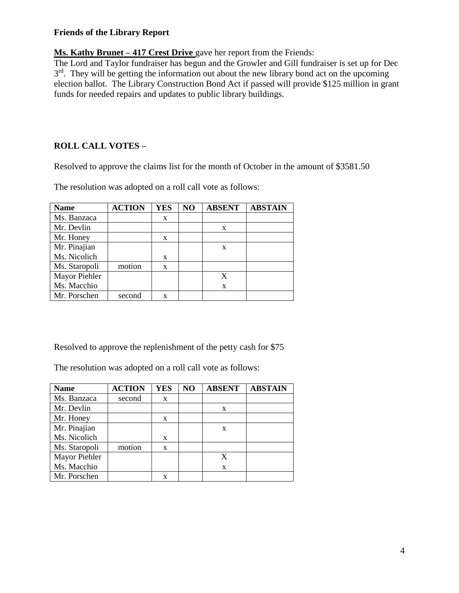#### **Friends of the Library Report**

**Ms. Kathy Brunet – 417 Crest Drive** gave her report from the Friends:

The Lord and Taylor fundraiser has begun and the Growler and Gill fundraiser is set up for Dec 3<sup>rd</sup>. They will be getting the information out about the new library bond act on the upcoming election ballot. The Library Construction Bond Act if passed will provide \$125 million in grant funds for needed repairs and updates to public library buildings.

# **ROLL CALL VOTES –**

Resolved to approve the claims list for the month of October in the amount of \$3581.50

The resolution was adopted on a roll call vote as follows:

| <b>Name</b>   | <b>ACTION</b> | <b>YES</b> | NO | <b>ABSENT</b> | <b>ABSTAIN</b> |
|---------------|---------------|------------|----|---------------|----------------|
| Ms. Banzaca   |               | X          |    |               |                |
| Mr. Devlin    |               |            |    | X             |                |
| Mr. Honey     |               | X          |    |               |                |
| Mr. Pinajian  |               |            |    | X             |                |
| Ms. Nicolich  |               | X          |    |               |                |
| Ms. Staropoli | motion        | X          |    |               |                |
| Mayor Piehler |               |            |    | X             |                |
| Ms. Macchio   |               |            |    | X             |                |
| Mr. Porschen  | second        | X          |    |               |                |

Resolved to approve the replenishment of the petty cash for \$75

The resolution was adopted on a roll call vote as follows:

| <b>Name</b>   | <b>ACTION</b> | <b>YES</b> | N <sub>O</sub> | <b>ABSENT</b> | <b>ABSTAIN</b> |
|---------------|---------------|------------|----------------|---------------|----------------|
| Ms. Banzaca   | second        | X          |                |               |                |
| Mr. Devlin    |               |            |                | X             |                |
| Mr. Honey     |               | X          |                |               |                |
| Mr. Pinajian  |               |            |                | X             |                |
| Ms. Nicolich  |               | X          |                |               |                |
| Ms. Staropoli | motion        | X          |                |               |                |
| Mayor Piehler |               |            |                | X             |                |
| Ms. Macchio   |               |            |                | X             |                |
| Mr. Porschen  |               |            |                |               |                |